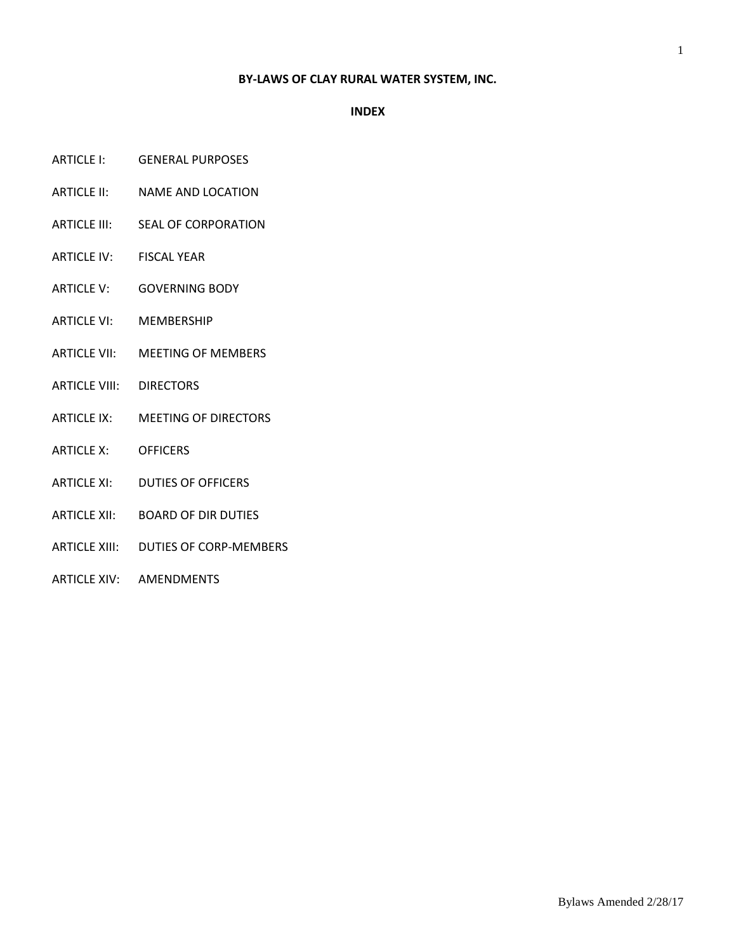### **BY-LAWS OF CLAY RURAL WATER SYSTEM, INC.**

#### **INDEX**

- ARTICLE I: GENERAL PURPOSES
- ARTICLE II: NAME AND LOCATION
- ARTICLE III: SEAL OF CORPORATION
- ARTICLE IV: FISCAL YEAR
- ARTICLE V: GOVERNING BODY
- ARTICLE VI: MEMBERSHIP
- ARTICLE VII: MEETING OF MEMBERS
- ARTICLE VIII: DIRECTORS
- ARTICLE IX: MEETING OF DIRECTORS
- ARTICLE X: OFFICERS
- ARTICLE XI: DUTIES OF OFFICERS
- ARTICLE XII: BOARD OF DIR DUTIES
- ARTICLE XIII: DUTIES OF CORP-MEMBERS
- ARTICLE XIV: AMENDMENTS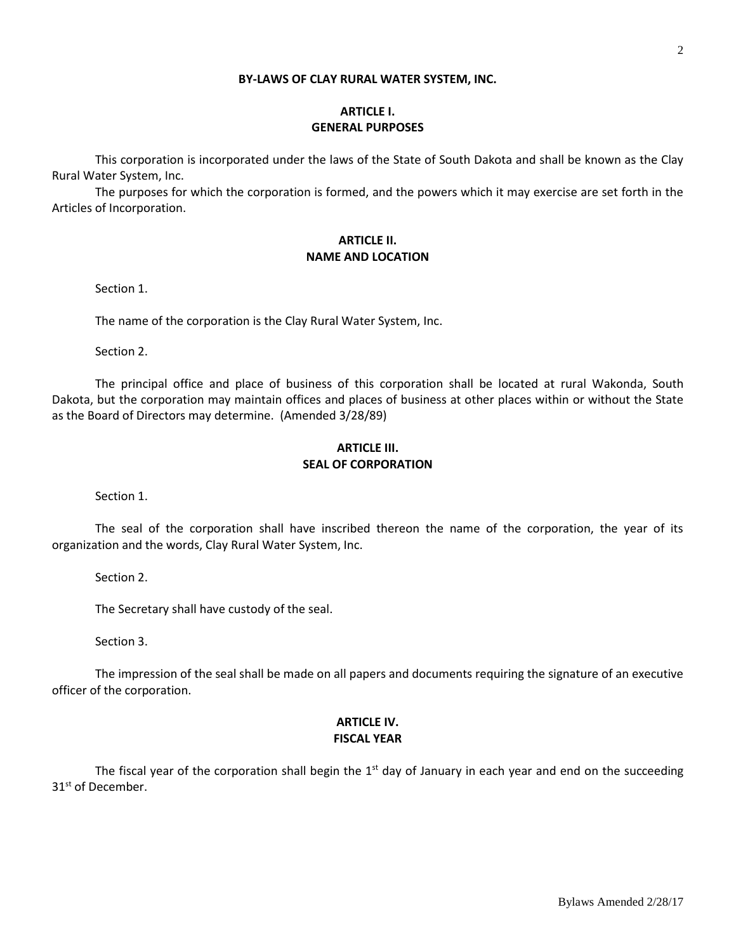#### **BY-LAWS OF CLAY RURAL WATER SYSTEM, INC.**

# **ARTICLE I. GENERAL PURPOSES**

This corporation is incorporated under the laws of the State of South Dakota and shall be known as the Clay Rural Water System, Inc.

The purposes for which the corporation is formed, and the powers which it may exercise are set forth in the Articles of Incorporation.

### **ARTICLE II. NAME AND LOCATION**

Section 1.

The name of the corporation is the Clay Rural Water System, Inc.

Section 2.

The principal office and place of business of this corporation shall be located at rural Wakonda, South Dakota, but the corporation may maintain offices and places of business at other places within or without the State as the Board of Directors may determine. (Amended 3/28/89)

## **ARTICLE III. SEAL OF CORPORATION**

Section 1.

The seal of the corporation shall have inscribed thereon the name of the corporation, the year of its organization and the words, Clay Rural Water System, Inc.

Section 2.

The Secretary shall have custody of the seal.

Section 3.

The impression of the seal shall be made on all papers and documents requiring the signature of an executive officer of the corporation.

# **ARTICLE IV. FISCAL YEAR**

The fiscal year of the corporation shall begin the  $1<sup>st</sup>$  day of January in each year and end on the succeeding 31<sup>st</sup> of December.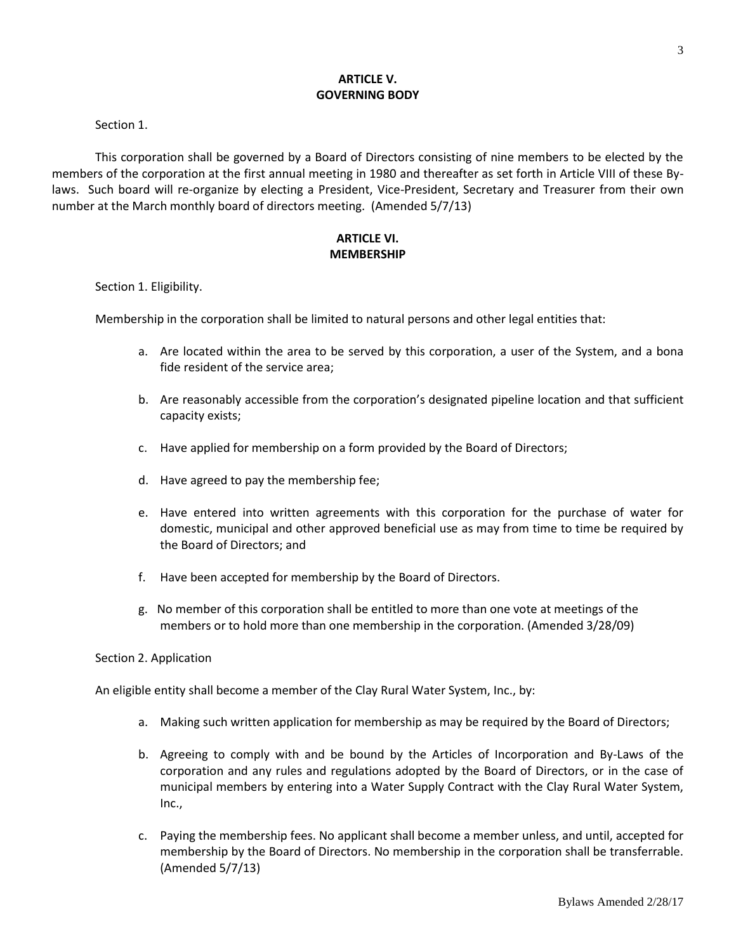## **ARTICLE V. GOVERNING BODY**

#### Section 1.

This corporation shall be governed by a Board of Directors consisting of nine members to be elected by the members of the corporation at the first annual meeting in 1980 and thereafter as set forth in Article VIII of these Bylaws. Such board will re-organize by electing a President, Vice-President, Secretary and Treasurer from their own number at the March monthly board of directors meeting. (Amended 5/7/13)

# **ARTICLE VI. MEMBERSHIP**

#### Section 1. Eligibility.

Membership in the corporation shall be limited to natural persons and other legal entities that:

- a. Are located within the area to be served by this corporation, a user of the System, and a bona fide resident of the service area;
- b. Are reasonably accessible from the corporation's designated pipeline location and that sufficient capacity exists;
- c. Have applied for membership on a form provided by the Board of Directors;
- d. Have agreed to pay the membership fee;
- e. Have entered into written agreements with this corporation for the purchase of water for domestic, municipal and other approved beneficial use as may from time to time be required by the Board of Directors; and
- f. Have been accepted for membership by the Board of Directors.
- g. No member of this corporation shall be entitled to more than one vote at meetings of the members or to hold more than one membership in the corporation. (Amended 3/28/09)

## Section 2. Application

An eligible entity shall become a member of the Clay Rural Water System, Inc., by:

- a. Making such written application for membership as may be required by the Board of Directors;
- b. Agreeing to comply with and be bound by the Articles of Incorporation and By-Laws of the corporation and any rules and regulations adopted by the Board of Directors, or in the case of municipal members by entering into a Water Supply Contract with the Clay Rural Water System, Inc.,
- c. Paying the membership fees. No applicant shall become a member unless, and until, accepted for membership by the Board of Directors. No membership in the corporation shall be transferrable. (Amended 5/7/13)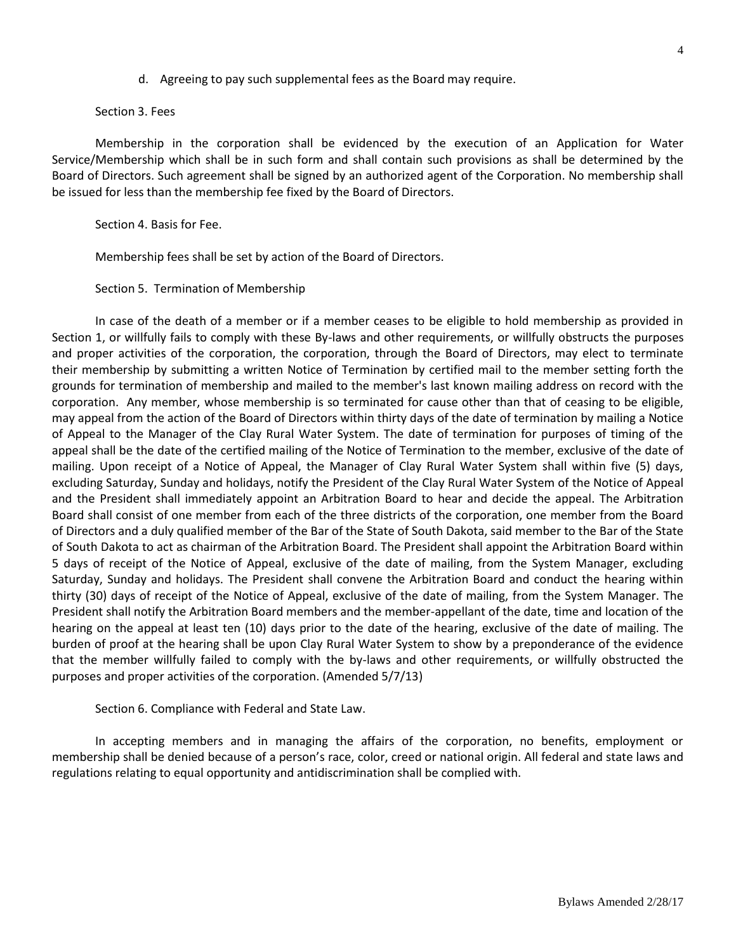d. Agreeing to pay such supplemental fees as the Board may require.

Section 3. Fees

Membership in the corporation shall be evidenced by the execution of an Application for Water Service/Membership which shall be in such form and shall contain such provisions as shall be determined by the Board of Directors. Such agreement shall be signed by an authorized agent of the Corporation. No membership shall be issued for less than the membership fee fixed by the Board of Directors.

Section 4. Basis for Fee.

Membership fees shall be set by action of the Board of Directors.

Section 5. Termination of Membership

In case of the death of a member or if a member ceases to be eligible to hold membership as provided in Section 1, or willfully fails to comply with these By-laws and other requirements, or willfully obstructs the purposes and proper activities of the corporation, the corporation, through the Board of Directors, may elect to terminate their membership by submitting a written Notice of Termination by certified mail to the member setting forth the grounds for termination of membership and mailed to the member's last known mailing address on record with the corporation. Any member, whose membership is so terminated for cause other than that of ceasing to be eligible, may appeal from the action of the Board of Directors within thirty days of the date of termination by mailing a Notice of Appeal to the Manager of the Clay Rural Water System. The date of termination for purposes of timing of the appeal shall be the date of the certified mailing of the Notice of Termination to the member, exclusive of the date of mailing. Upon receipt of a Notice of Appeal, the Manager of Clay Rural Water System shall within five (5) days, excluding Saturday, Sunday and holidays, notify the President of the Clay Rural Water System of the Notice of Appeal and the President shall immediately appoint an Arbitration Board to hear and decide the appeal. The Arbitration Board shall consist of one member from each of the three districts of the corporation, one member from the Board of Directors and a duly qualified member of the Bar of the State of South Dakota, said member to the Bar of the State of South Dakota to act as chairman of the Arbitration Board. The President shall appoint the Arbitration Board within 5 days of receipt of the Notice of Appeal, exclusive of the date of mailing, from the System Manager, excluding Saturday, Sunday and holidays. The President shall convene the Arbitration Board and conduct the hearing within thirty (30) days of receipt of the Notice of Appeal, exclusive of the date of mailing, from the System Manager. The President shall notify the Arbitration Board members and the member-appellant of the date, time and location of the hearing on the appeal at least ten (10) days prior to the date of the hearing, exclusive of the date of mailing. The burden of proof at the hearing shall be upon Clay Rural Water System to show by a preponderance of the evidence that the member willfully failed to comply with the by-laws and other requirements, or willfully obstructed the purposes and proper activities of the corporation. (Amended 5/7/13)

Section 6. Compliance with Federal and State Law.

In accepting members and in managing the affairs of the corporation, no benefits, employment or membership shall be denied because of a person's race, color, creed or national origin. All federal and state laws and regulations relating to equal opportunity and antidiscrimination shall be complied with.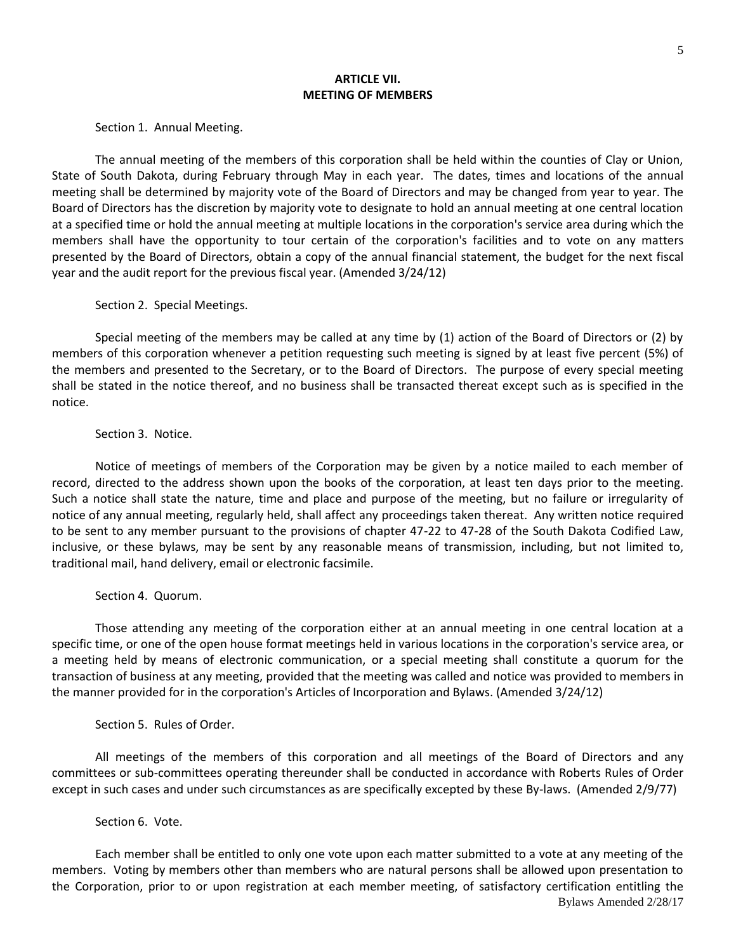#### **ARTICLE VII. MEETING OF MEMBERS**

Section 1. Annual Meeting.

The annual meeting of the members of this corporation shall be held within the counties of Clay or Union, State of South Dakota, during February through May in each year. The dates, times and locations of the annual meeting shall be determined by majority vote of the Board of Directors and may be changed from year to year. The Board of Directors has the discretion by majority vote to designate to hold an annual meeting at one central location at a specified time or hold the annual meeting at multiple locations in the corporation's service area during which the members shall have the opportunity to tour certain of the corporation's facilities and to vote on any matters presented by the Board of Directors, obtain a copy of the annual financial statement, the budget for the next fiscal year and the audit report for the previous fiscal year. (Amended 3/24/12)

Section 2. Special Meetings.

Special meeting of the members may be called at any time by (1) action of the Board of Directors or (2) by members of this corporation whenever a petition requesting such meeting is signed by at least five percent (5%) of the members and presented to the Secretary, or to the Board of Directors. The purpose of every special meeting shall be stated in the notice thereof, and no business shall be transacted thereat except such as is specified in the notice.

Section 3. Notice.

Notice of meetings of members of the Corporation may be given by a notice mailed to each member of record, directed to the address shown upon the books of the corporation, at least ten days prior to the meeting. Such a notice shall state the nature, time and place and purpose of the meeting, but no failure or irregularity of notice of any annual meeting, regularly held, shall affect any proceedings taken thereat. Any written notice required to be sent to any member pursuant to the provisions of chapter 47-22 to 47-28 of the South Dakota Codified Law, inclusive, or these bylaws, may be sent by any reasonable means of transmission, including, but not limited to, traditional mail, hand delivery, email or electronic facsimile.

Section 4. Quorum.

Those attending any meeting of the corporation either at an annual meeting in one central location at a specific time, or one of the open house format meetings held in various locations in the corporation's service area, or a meeting held by means of electronic communication, or a special meeting shall constitute a quorum for the transaction of business at any meeting, provided that the meeting was called and notice was provided to members in the manner provided for in the corporation's Articles of Incorporation and Bylaws. (Amended 3/24/12)

Section 5. Rules of Order.

All meetings of the members of this corporation and all meetings of the Board of Directors and any committees or sub-committees operating thereunder shall be conducted in accordance with Roberts Rules of Order except in such cases and under such circumstances as are specifically excepted by these By-laws. (Amended 2/9/77)

Section 6. Vote.

Bylaws Amended 2/28/17 Each member shall be entitled to only one vote upon each matter submitted to a vote at any meeting of the members. Voting by members other than members who are natural persons shall be allowed upon presentation to the Corporation, prior to or upon registration at each member meeting, of satisfactory certification entitling the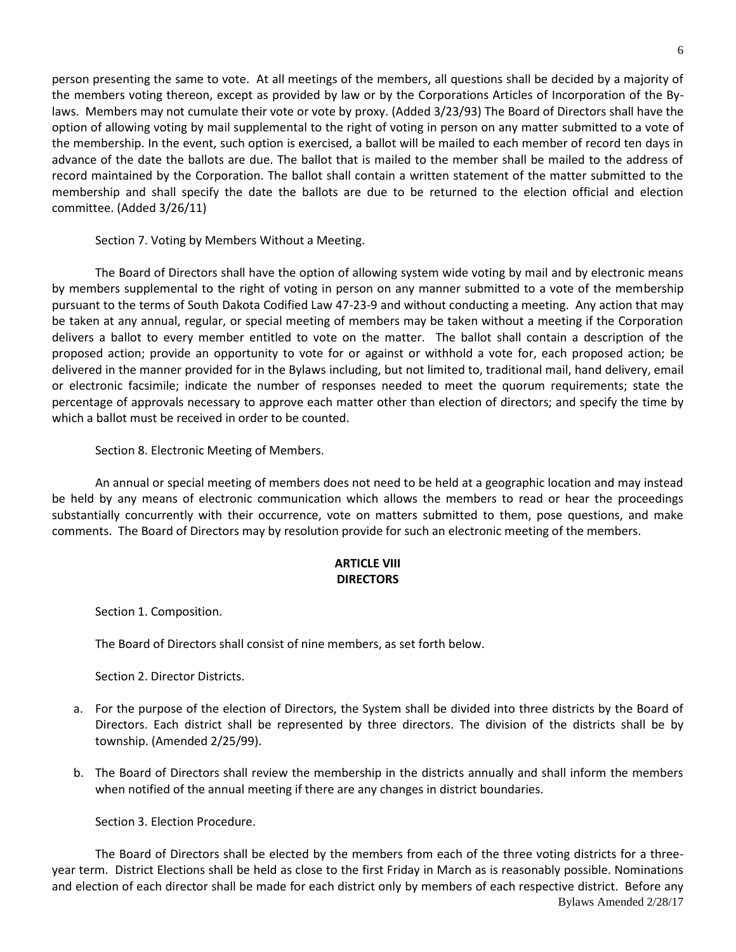person presenting the same to vote. At all meetings of the members, all questions shall be decided by a majority of the members voting thereon, except as provided by law or by the Corporations Articles of Incorporation of the Bylaws. Members may not cumulate their vote or vote by proxy. (Added 3/23/93) The Board of Directors shall have the option of allowing voting by mail supplemental to the right of voting in person on any matter submitted to a vote of the membership. In the event, such option is exercised, a ballot will be mailed to each member of record ten days in advance of the date the ballots are due. The ballot that is mailed to the member shall be mailed to the address of record maintained by the Corporation. The ballot shall contain a written statement of the matter submitted to the membership and shall specify the date the ballots are due to be returned to the election official and election committee. (Added 3/26/11)

Section 7. Voting by Members Without a Meeting.

The Board of Directors shall have the option of allowing system wide voting by mail and by electronic means by members supplemental to the right of voting in person on any manner submitted to a vote of the membership pursuant to the terms of South Dakota Codified Law 47-23-9 and without conducting a meeting. Any action that may be taken at any annual, regular, or special meeting of members may be taken without a meeting if the Corporation delivers a ballot to every member entitled to vote on the matter. The ballot shall contain a description of the proposed action; provide an opportunity to vote for or against or withhold a vote for, each proposed action; be delivered in the manner provided for in the Bylaws including, but not limited to, traditional mail, hand delivery, email or electronic facsimile; indicate the number of responses needed to meet the quorum requirements; state the percentage of approvals necessary to approve each matter other than election of directors; and specify the time by which a ballot must be received in order to be counted.

Section 8. Electronic Meeting of Members.

An annual or special meeting of members does not need to be held at a geographic location and may instead be held by any means of electronic communication which allows the members to read or hear the proceedings substantially concurrently with their occurrence, vote on matters submitted to them, pose questions, and make comments. The Board of Directors may by resolution provide for such an electronic meeting of the members.

# **ARTICLE VIII DIRECTORS**

Section 1. Composition.

The Board of Directors shall consist of nine members, as set forth below.

Section 2. Director Districts.

- a. For the purpose of the election of Directors, the System shall be divided into three districts by the Board of Directors. Each district shall be represented by three directors. The division of the districts shall be by township. (Amended 2/25/99).
- b. The Board of Directors shall review the membership in the districts annually and shall inform the members when notified of the annual meeting if there are any changes in district boundaries.

Section 3. Election Procedure.

Bylaws Amended 2/28/17 The Board of Directors shall be elected by the members from each of the three voting districts for a threeyear term. District Elections shall be held as close to the first Friday in March as is reasonably possible. Nominations and election of each director shall be made for each district only by members of each respective district. Before any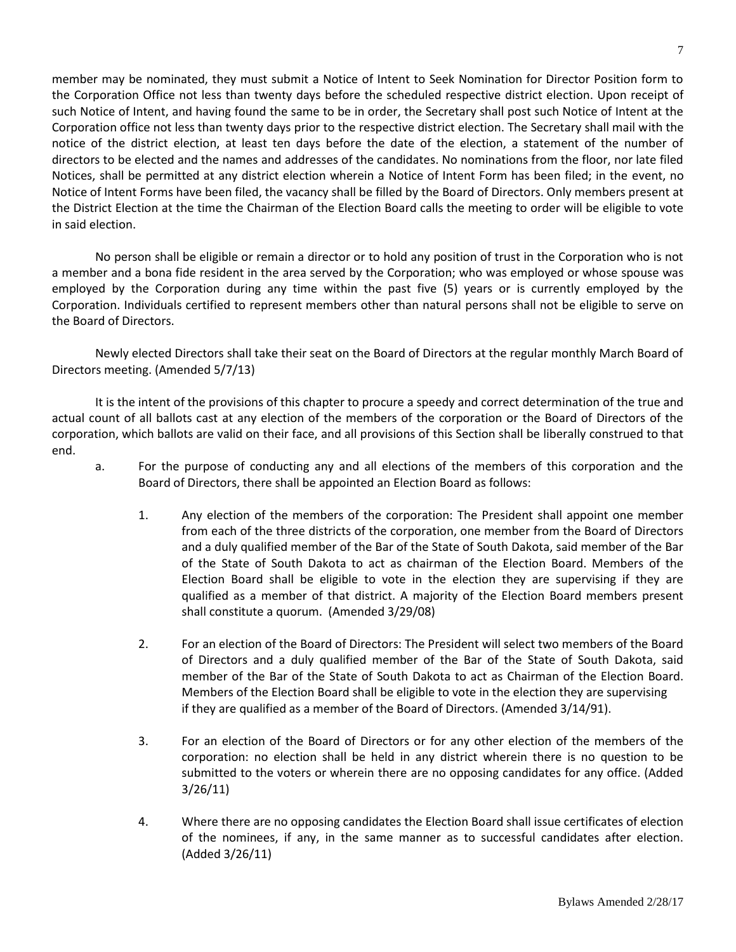member may be nominated, they must submit a Notice of Intent to Seek Nomination for Director Position form to the Corporation Office not less than twenty days before the scheduled respective district election. Upon receipt of such Notice of Intent, and having found the same to be in order, the Secretary shall post such Notice of Intent at the Corporation office not less than twenty days prior to the respective district election. The Secretary shall mail with the notice of the district election, at least ten days before the date of the election, a statement of the number of directors to be elected and the names and addresses of the candidates. No nominations from the floor, nor late filed Notices, shall be permitted at any district election wherein a Notice of Intent Form has been filed; in the event, no Notice of Intent Forms have been filed, the vacancy shall be filled by the Board of Directors. Only members present at the District Election at the time the Chairman of the Election Board calls the meeting to order will be eligible to vote in said election.

No person shall be eligible or remain a director or to hold any position of trust in the Corporation who is not a member and a bona fide resident in the area served by the Corporation; who was employed or whose spouse was employed by the Corporation during any time within the past five (5) years or is currently employed by the Corporation. Individuals certified to represent members other than natural persons shall not be eligible to serve on the Board of Directors.

Newly elected Directors shall take their seat on the Board of Directors at the regular monthly March Board of Directors meeting. (Amended 5/7/13)

It is the intent of the provisions of this chapter to procure a speedy and correct determination of the true and actual count of all ballots cast at any election of the members of the corporation or the Board of Directors of the corporation, which ballots are valid on their face, and all provisions of this Section shall be liberally construed to that end.

- a. For the purpose of conducting any and all elections of the members of this corporation and the Board of Directors, there shall be appointed an Election Board as follows:
	- 1. Any election of the members of the corporation: The President shall appoint one member from each of the three districts of the corporation, one member from the Board of Directors and a duly qualified member of the Bar of the State of South Dakota, said member of the Bar of the State of South Dakota to act as chairman of the Election Board. Members of the Election Board shall be eligible to vote in the election they are supervising if they are qualified as a member of that district. A majority of the Election Board members present shall constitute a quorum. (Amended 3/29/08)
	- 2. For an election of the Board of Directors: The President will select two members of the Board of Directors and a duly qualified member of the Bar of the State of South Dakota, said member of the Bar of the State of South Dakota to act as Chairman of the Election Board. Members of the Election Board shall be eligible to vote in the election they are supervising if they are qualified as a member of the Board of Directors. (Amended 3/14/91).
	- 3. For an election of the Board of Directors or for any other election of the members of the corporation: no election shall be held in any district wherein there is no question to be submitted to the voters or wherein there are no opposing candidates for any office. (Added 3/26/11)
	- 4. Where there are no opposing candidates the Election Board shall issue certificates of election of the nominees, if any, in the same manner as to successful candidates after election. (Added 3/26/11)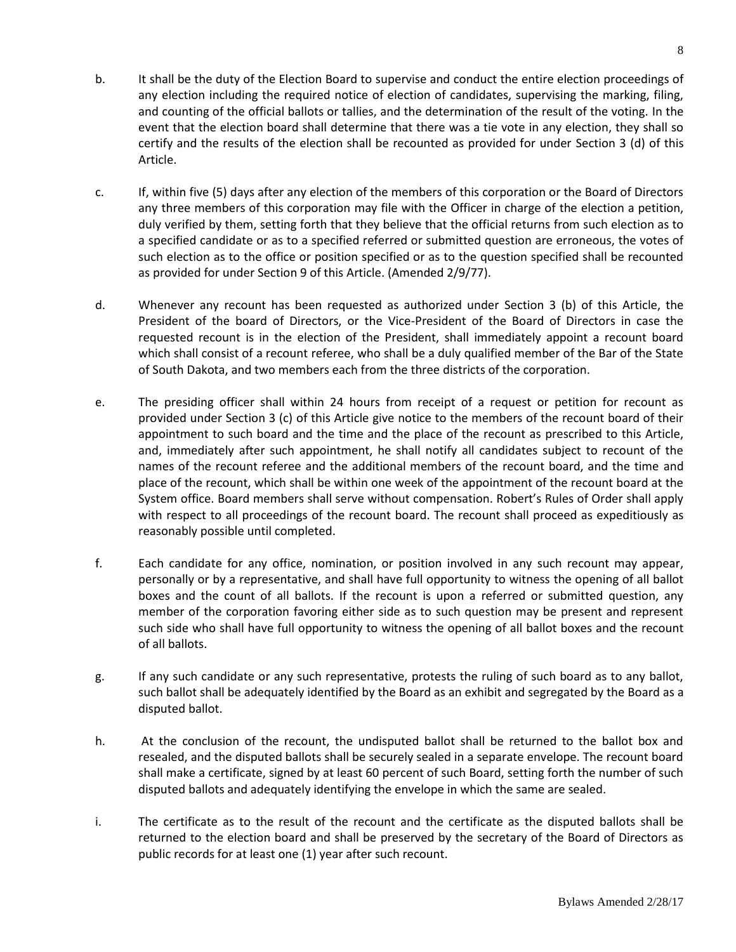- b. It shall be the duty of the Election Board to supervise and conduct the entire election proceedings of any election including the required notice of election of candidates, supervising the marking, filing, and counting of the official ballots or tallies, and the determination of the result of the voting. In the event that the election board shall determine that there was a tie vote in any election, they shall so certify and the results of the election shall be recounted as provided for under Section 3 (d) of this Article.
- c. If, within five (5) days after any election of the members of this corporation or the Board of Directors any three members of this corporation may file with the Officer in charge of the election a petition, duly verified by them, setting forth that they believe that the official returns from such election as to a specified candidate or as to a specified referred or submitted question are erroneous, the votes of such election as to the office or position specified or as to the question specified shall be recounted as provided for under Section 9 of this Article. (Amended 2/9/77).
- d. Whenever any recount has been requested as authorized under Section 3 (b) of this Article, the President of the board of Directors, or the Vice-President of the Board of Directors in case the requested recount is in the election of the President, shall immediately appoint a recount board which shall consist of a recount referee, who shall be a duly qualified member of the Bar of the State of South Dakota, and two members each from the three districts of the corporation.
- e. The presiding officer shall within 24 hours from receipt of a request or petition for recount as provided under Section 3 (c) of this Article give notice to the members of the recount board of their appointment to such board and the time and the place of the recount as prescribed to this Article, and, immediately after such appointment, he shall notify all candidates subject to recount of the names of the recount referee and the additional members of the recount board, and the time and place of the recount, which shall be within one week of the appointment of the recount board at the System office. Board members shall serve without compensation. Robert's Rules of Order shall apply with respect to all proceedings of the recount board. The recount shall proceed as expeditiously as reasonably possible until completed.
- f. Each candidate for any office, nomination, or position involved in any such recount may appear, personally or by a representative, and shall have full opportunity to witness the opening of all ballot boxes and the count of all ballots. If the recount is upon a referred or submitted question, any member of the corporation favoring either side as to such question may be present and represent such side who shall have full opportunity to witness the opening of all ballot boxes and the recount of all ballots.
- g. If any such candidate or any such representative, protests the ruling of such board as to any ballot, such ballot shall be adequately identified by the Board as an exhibit and segregated by the Board as a disputed ballot.
- h. At the conclusion of the recount, the undisputed ballot shall be returned to the ballot box and resealed, and the disputed ballots shall be securely sealed in a separate envelope. The recount board shall make a certificate, signed by at least 60 percent of such Board, setting forth the number of such disputed ballots and adequately identifying the envelope in which the same are sealed.
- i. The certificate as to the result of the recount and the certificate as the disputed ballots shall be returned to the election board and shall be preserved by the secretary of the Board of Directors as public records for at least one (1) year after such recount.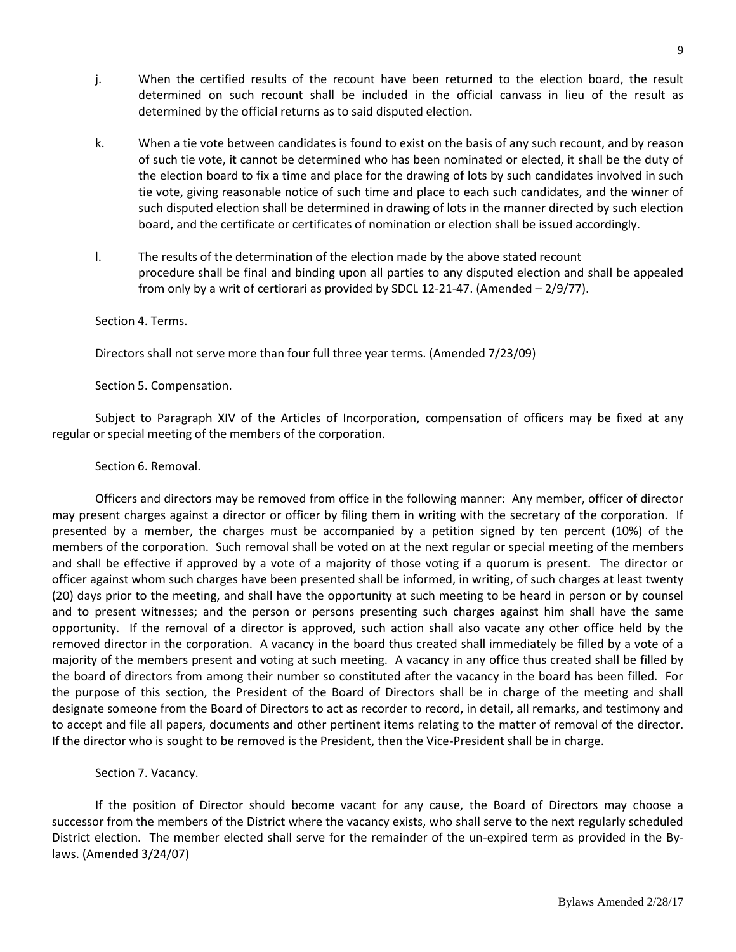- j. When the certified results of the recount have been returned to the election board, the result determined on such recount shall be included in the official canvass in lieu of the result as determined by the official returns as to said disputed election.
- k. When a tie vote between candidates is found to exist on the basis of any such recount, and by reason of such tie vote, it cannot be determined who has been nominated or elected, it shall be the duty of the election board to fix a time and place for the drawing of lots by such candidates involved in such tie vote, giving reasonable notice of such time and place to each such candidates, and the winner of such disputed election shall be determined in drawing of lots in the manner directed by such election board, and the certificate or certificates of nomination or election shall be issued accordingly.
- l. The results of the determination of the election made by the above stated recount procedure shall be final and binding upon all parties to any disputed election and shall be appealed from only by a writ of certiorari as provided by SDCL 12-21-47. (Amended – 2/9/77).

#### Section 4. Terms.

Directors shall not serve more than four full three year terms. (Amended 7/23/09)

Section 5. Compensation.

Subject to Paragraph XIV of the Articles of Incorporation, compensation of officers may be fixed at any regular or special meeting of the members of the corporation.

### Section 6. Removal.

Officers and directors may be removed from office in the following manner: Any member, officer of director may present charges against a director or officer by filing them in writing with the secretary of the corporation. If presented by a member, the charges must be accompanied by a petition signed by ten percent (10%) of the members of the corporation. Such removal shall be voted on at the next regular or special meeting of the members and shall be effective if approved by a vote of a majority of those voting if a quorum is present. The director or officer against whom such charges have been presented shall be informed, in writing, of such charges at least twenty (20) days prior to the meeting, and shall have the opportunity at such meeting to be heard in person or by counsel and to present witnesses; and the person or persons presenting such charges against him shall have the same opportunity. If the removal of a director is approved, such action shall also vacate any other office held by the removed director in the corporation. A vacancy in the board thus created shall immediately be filled by a vote of a majority of the members present and voting at such meeting. A vacancy in any office thus created shall be filled by the board of directors from among their number so constituted after the vacancy in the board has been filled. For the purpose of this section, the President of the Board of Directors shall be in charge of the meeting and shall designate someone from the Board of Directors to act as recorder to record, in detail, all remarks, and testimony and to accept and file all papers, documents and other pertinent items relating to the matter of removal of the director. If the director who is sought to be removed is the President, then the Vice-President shall be in charge.

## Section 7. Vacancy.

If the position of Director should become vacant for any cause, the Board of Directors may choose a successor from the members of the District where the vacancy exists, who shall serve to the next regularly scheduled District election. The member elected shall serve for the remainder of the un-expired term as provided in the Bylaws. (Amended 3/24/07)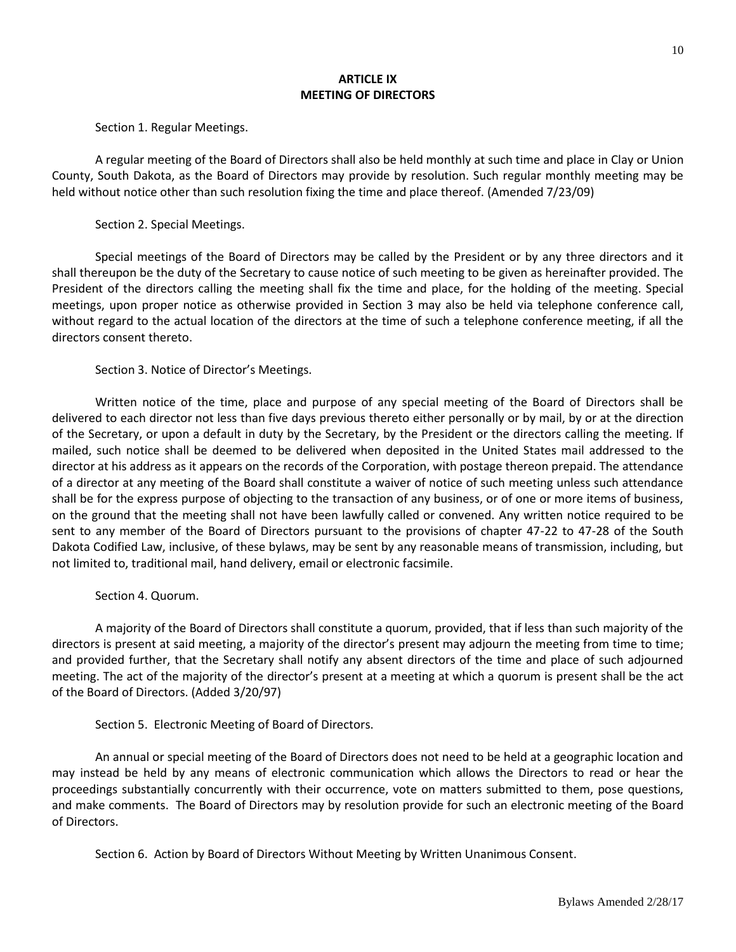### **ARTICLE IX MEETING OF DIRECTORS**

Section 1. Regular Meetings.

A regular meeting of the Board of Directors shall also be held monthly at such time and place in Clay or Union County, South Dakota, as the Board of Directors may provide by resolution. Such regular monthly meeting may be held without notice other than such resolution fixing the time and place thereof. (Amended 7/23/09)

Section 2. Special Meetings.

Special meetings of the Board of Directors may be called by the President or by any three directors and it shall thereupon be the duty of the Secretary to cause notice of such meeting to be given as hereinafter provided. The President of the directors calling the meeting shall fix the time and place, for the holding of the meeting. Special meetings, upon proper notice as otherwise provided in Section 3 may also be held via telephone conference call, without regard to the actual location of the directors at the time of such a telephone conference meeting, if all the directors consent thereto.

Section 3. Notice of Director's Meetings.

Written notice of the time, place and purpose of any special meeting of the Board of Directors shall be delivered to each director not less than five days previous thereto either personally or by mail, by or at the direction of the Secretary, or upon a default in duty by the Secretary, by the President or the directors calling the meeting. If mailed, such notice shall be deemed to be delivered when deposited in the United States mail addressed to the director at his address as it appears on the records of the Corporation, with postage thereon prepaid. The attendance of a director at any meeting of the Board shall constitute a waiver of notice of such meeting unless such attendance shall be for the express purpose of objecting to the transaction of any business, or of one or more items of business, on the ground that the meeting shall not have been lawfully called or convened. Any written notice required to be sent to any member of the Board of Directors pursuant to the provisions of chapter 47-22 to 47-28 of the South Dakota Codified Law, inclusive, of these bylaws, may be sent by any reasonable means of transmission, including, but not limited to, traditional mail, hand delivery, email or electronic facsimile.

Section 4. Quorum.

A majority of the Board of Directors shall constitute a quorum, provided, that if less than such majority of the directors is present at said meeting, a majority of the director's present may adjourn the meeting from time to time; and provided further, that the Secretary shall notify any absent directors of the time and place of such adjourned meeting. The act of the majority of the director's present at a meeting at which a quorum is present shall be the act of the Board of Directors. (Added 3/20/97)

Section 5. Electronic Meeting of Board of Directors.

An annual or special meeting of the Board of Directors does not need to be held at a geographic location and may instead be held by any means of electronic communication which allows the Directors to read or hear the proceedings substantially concurrently with their occurrence, vote on matters submitted to them, pose questions, and make comments. The Board of Directors may by resolution provide for such an electronic meeting of the Board of Directors.

Section 6. Action by Board of Directors Without Meeting by Written Unanimous Consent.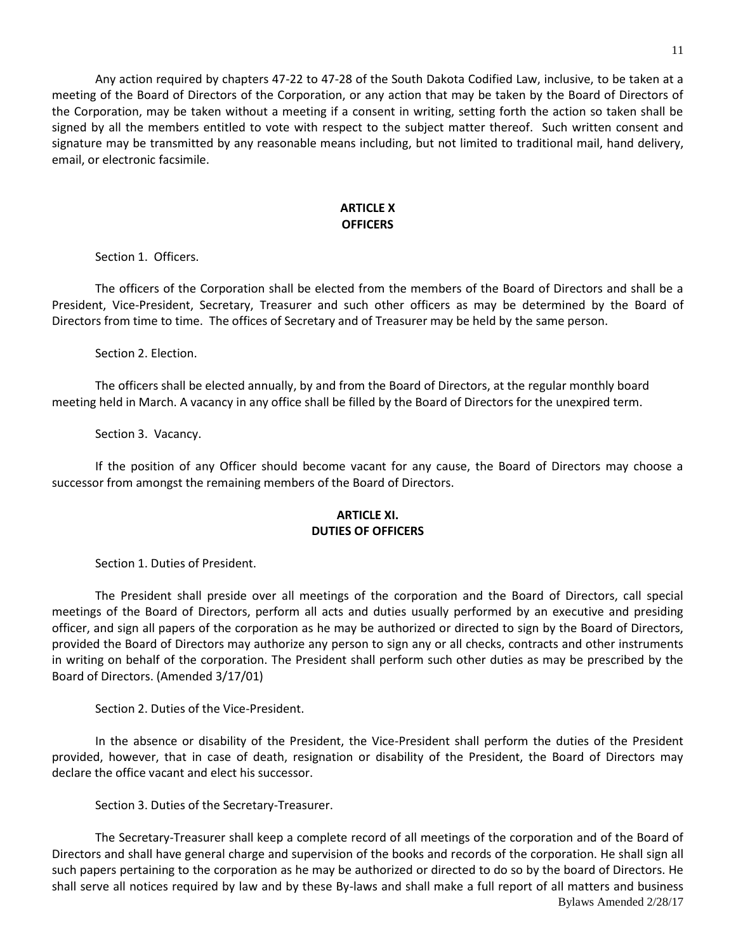Any action required by chapters 47-22 to 47-28 of the South Dakota Codified Law, inclusive, to be taken at a meeting of the Board of Directors of the Corporation, or any action that may be taken by the Board of Directors of the Corporation, may be taken without a meeting if a consent in writing, setting forth the action so taken shall be signed by all the members entitled to vote with respect to the subject matter thereof. Such written consent and signature may be transmitted by any reasonable means including, but not limited to traditional mail, hand delivery, email, or electronic facsimile.

## **ARTICLE X OFFICERS**

Section 1. Officers.

The officers of the Corporation shall be elected from the members of the Board of Directors and shall be a President, Vice-President, Secretary, Treasurer and such other officers as may be determined by the Board of Directors from time to time. The offices of Secretary and of Treasurer may be held by the same person.

Section 2. Election.

The officers shall be elected annually, by and from the Board of Directors, at the regular monthly board meeting held in March. A vacancy in any office shall be filled by the Board of Directors for the unexpired term.

Section 3. Vacancy.

If the position of any Officer should become vacant for any cause, the Board of Directors may choose a successor from amongst the remaining members of the Board of Directors.

### **ARTICLE XI. DUTIES OF OFFICERS**

Section 1. Duties of President.

The President shall preside over all meetings of the corporation and the Board of Directors, call special meetings of the Board of Directors, perform all acts and duties usually performed by an executive and presiding officer, and sign all papers of the corporation as he may be authorized or directed to sign by the Board of Directors, provided the Board of Directors may authorize any person to sign any or all checks, contracts and other instruments in writing on behalf of the corporation. The President shall perform such other duties as may be prescribed by the Board of Directors. (Amended 3/17/01)

Section 2. Duties of the Vice-President.

In the absence or disability of the President, the Vice-President shall perform the duties of the President provided, however, that in case of death, resignation or disability of the President, the Board of Directors may declare the office vacant and elect his successor.

Section 3. Duties of the Secretary-Treasurer.

Bylaws Amended 2/28/17 The Secretary-Treasurer shall keep a complete record of all meetings of the corporation and of the Board of Directors and shall have general charge and supervision of the books and records of the corporation. He shall sign all such papers pertaining to the corporation as he may be authorized or directed to do so by the board of Directors. He shall serve all notices required by law and by these By-laws and shall make a full report of all matters and business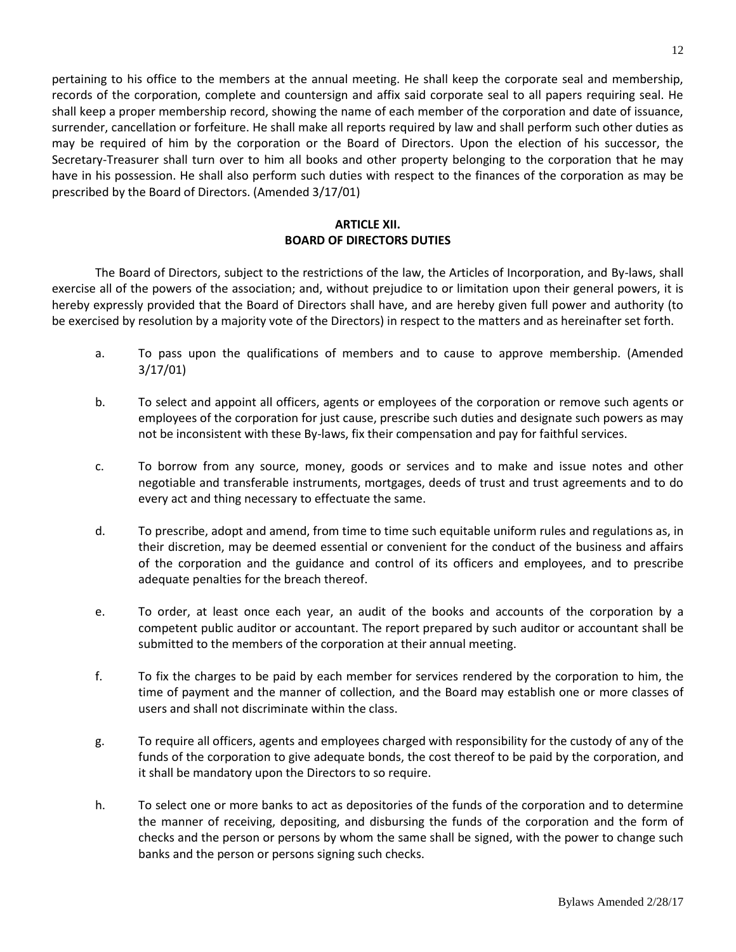pertaining to his office to the members at the annual meeting. He shall keep the corporate seal and membership, records of the corporation, complete and countersign and affix said corporate seal to all papers requiring seal. He shall keep a proper membership record, showing the name of each member of the corporation and date of issuance, surrender, cancellation or forfeiture. He shall make all reports required by law and shall perform such other duties as may be required of him by the corporation or the Board of Directors. Upon the election of his successor, the Secretary-Treasurer shall turn over to him all books and other property belonging to the corporation that he may have in his possession. He shall also perform such duties with respect to the finances of the corporation as may be prescribed by the Board of Directors. (Amended 3/17/01)

# **ARTICLE XII. BOARD OF DIRECTORS DUTIES**

The Board of Directors, subject to the restrictions of the law, the Articles of Incorporation, and By-laws, shall exercise all of the powers of the association; and, without prejudice to or limitation upon their general powers, it is hereby expressly provided that the Board of Directors shall have, and are hereby given full power and authority (to be exercised by resolution by a majority vote of the Directors) in respect to the matters and as hereinafter set forth.

- a. To pass upon the qualifications of members and to cause to approve membership. (Amended 3/17/01)
- b. To select and appoint all officers, agents or employees of the corporation or remove such agents or employees of the corporation for just cause, prescribe such duties and designate such powers as may not be inconsistent with these By-laws, fix their compensation and pay for faithful services.
- c. To borrow from any source, money, goods or services and to make and issue notes and other negotiable and transferable instruments, mortgages, deeds of trust and trust agreements and to do every act and thing necessary to effectuate the same.
- d. To prescribe, adopt and amend, from time to time such equitable uniform rules and regulations as, in their discretion, may be deemed essential or convenient for the conduct of the business and affairs of the corporation and the guidance and control of its officers and employees, and to prescribe adequate penalties for the breach thereof.
- e. To order, at least once each year, an audit of the books and accounts of the corporation by a competent public auditor or accountant. The report prepared by such auditor or accountant shall be submitted to the members of the corporation at their annual meeting.
- f. To fix the charges to be paid by each member for services rendered by the corporation to him, the time of payment and the manner of collection, and the Board may establish one or more classes of users and shall not discriminate within the class.
- g. To require all officers, agents and employees charged with responsibility for the custody of any of the funds of the corporation to give adequate bonds, the cost thereof to be paid by the corporation, and it shall be mandatory upon the Directors to so require.
- h. To select one or more banks to act as depositories of the funds of the corporation and to determine the manner of receiving, depositing, and disbursing the funds of the corporation and the form of checks and the person or persons by whom the same shall be signed, with the power to change such banks and the person or persons signing such checks.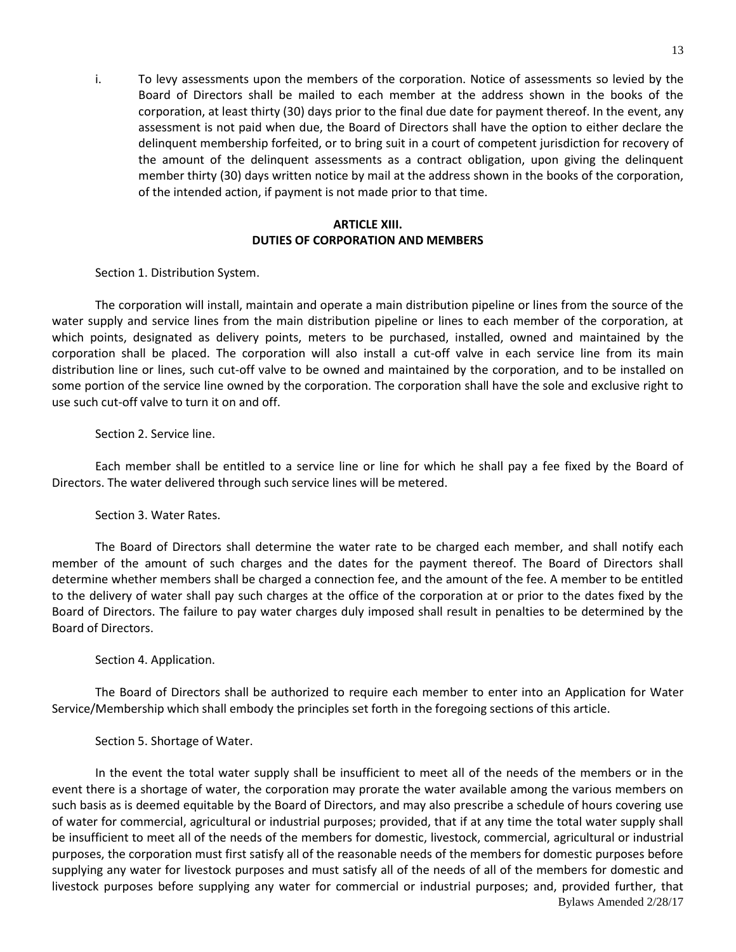i. To levy assessments upon the members of the corporation. Notice of assessments so levied by the Board of Directors shall be mailed to each member at the address shown in the books of the corporation, at least thirty (30) days prior to the final due date for payment thereof. In the event, any assessment is not paid when due, the Board of Directors shall have the option to either declare the delinquent membership forfeited, or to bring suit in a court of competent jurisdiction for recovery of the amount of the delinquent assessments as a contract obligation, upon giving the delinquent member thirty (30) days written notice by mail at the address shown in the books of the corporation, of the intended action, if payment is not made prior to that time.

# **ARTICLE XIII. DUTIES OF CORPORATION AND MEMBERS**

Section 1. Distribution System.

The corporation will install, maintain and operate a main distribution pipeline or lines from the source of the water supply and service lines from the main distribution pipeline or lines to each member of the corporation, at which points, designated as delivery points, meters to be purchased, installed, owned and maintained by the corporation shall be placed. The corporation will also install a cut-off valve in each service line from its main distribution line or lines, such cut-off valve to be owned and maintained by the corporation, and to be installed on some portion of the service line owned by the corporation. The corporation shall have the sole and exclusive right to use such cut-off valve to turn it on and off.

Section 2. Service line.

Each member shall be entitled to a service line or line for which he shall pay a fee fixed by the Board of Directors. The water delivered through such service lines will be metered.

Section 3. Water Rates.

The Board of Directors shall determine the water rate to be charged each member, and shall notify each member of the amount of such charges and the dates for the payment thereof. The Board of Directors shall determine whether members shall be charged a connection fee, and the amount of the fee. A member to be entitled to the delivery of water shall pay such charges at the office of the corporation at or prior to the dates fixed by the Board of Directors. The failure to pay water charges duly imposed shall result in penalties to be determined by the Board of Directors.

Section 4. Application.

The Board of Directors shall be authorized to require each member to enter into an Application for Water Service/Membership which shall embody the principles set forth in the foregoing sections of this article.

#### Section 5. Shortage of Water.

Bylaws Amended 2/28/17 In the event the total water supply shall be insufficient to meet all of the needs of the members or in the event there is a shortage of water, the corporation may prorate the water available among the various members on such basis as is deemed equitable by the Board of Directors, and may also prescribe a schedule of hours covering use of water for commercial, agricultural or industrial purposes; provided, that if at any time the total water supply shall be insufficient to meet all of the needs of the members for domestic, livestock, commercial, agricultural or industrial purposes, the corporation must first satisfy all of the reasonable needs of the members for domestic purposes before supplying any water for livestock purposes and must satisfy all of the needs of all of the members for domestic and livestock purposes before supplying any water for commercial or industrial purposes; and, provided further, that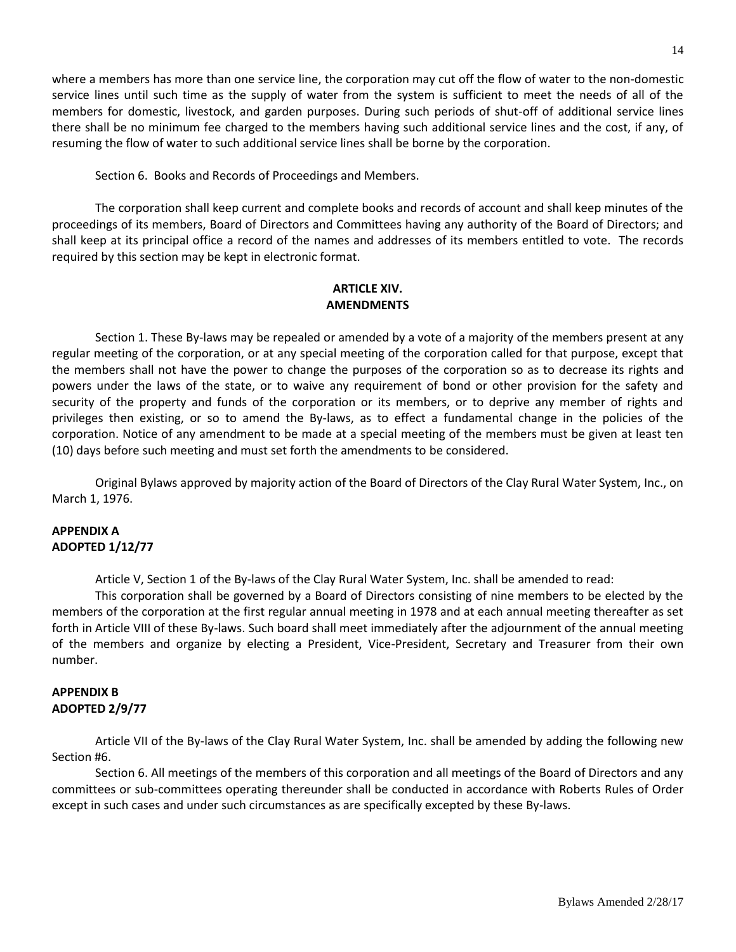where a members has more than one service line, the corporation may cut off the flow of water to the non-domestic service lines until such time as the supply of water from the system is sufficient to meet the needs of all of the members for domestic, livestock, and garden purposes. During such periods of shut-off of additional service lines there shall be no minimum fee charged to the members having such additional service lines and the cost, if any, of resuming the flow of water to such additional service lines shall be borne by the corporation.

Section 6. Books and Records of Proceedings and Members.

The corporation shall keep current and complete books and records of account and shall keep minutes of the proceedings of its members, Board of Directors and Committees having any authority of the Board of Directors; and shall keep at its principal office a record of the names and addresses of its members entitled to vote. The records required by this section may be kept in electronic format.

## **ARTICLE XIV. AMENDMENTS**

Section 1. These By-laws may be repealed or amended by a vote of a majority of the members present at any regular meeting of the corporation, or at any special meeting of the corporation called for that purpose, except that the members shall not have the power to change the purposes of the corporation so as to decrease its rights and powers under the laws of the state, or to waive any requirement of bond or other provision for the safety and security of the property and funds of the corporation or its members, or to deprive any member of rights and privileges then existing, or so to amend the By-laws, as to effect a fundamental change in the policies of the corporation. Notice of any amendment to be made at a special meeting of the members must be given at least ten (10) days before such meeting and must set forth the amendments to be considered.

Original Bylaws approved by majority action of the Board of Directors of the Clay Rural Water System, Inc., on March 1, 1976.

## **APPENDIX A ADOPTED 1/12/77**

Article V, Section 1 of the By-laws of the Clay Rural Water System, Inc. shall be amended to read:

This corporation shall be governed by a Board of Directors consisting of nine members to be elected by the members of the corporation at the first regular annual meeting in 1978 and at each annual meeting thereafter as set forth in Article VIII of these By-laws. Such board shall meet immediately after the adjournment of the annual meeting of the members and organize by electing a President, Vice-President, Secretary and Treasurer from their own number.

## **APPENDIX B ADOPTED 2/9/77**

Article VII of the By-laws of the Clay Rural Water System, Inc. shall be amended by adding the following new Section #6.

Section 6. All meetings of the members of this corporation and all meetings of the Board of Directors and any committees or sub-committees operating thereunder shall be conducted in accordance with Roberts Rules of Order except in such cases and under such circumstances as are specifically excepted by these By-laws.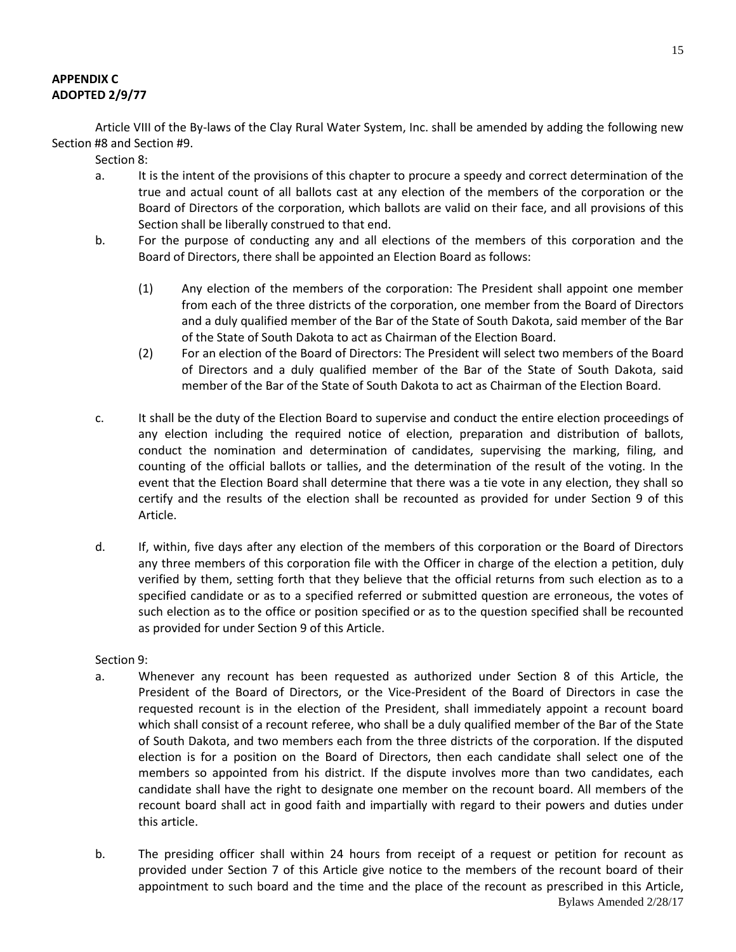# **APPENDIX C ADOPTED 2/9/77**

Article VIII of the By-laws of the Clay Rural Water System, Inc. shall be amended by adding the following new Section #8 and Section #9.

Section 8:

- a. It is the intent of the provisions of this chapter to procure a speedy and correct determination of the true and actual count of all ballots cast at any election of the members of the corporation or the Board of Directors of the corporation, which ballots are valid on their face, and all provisions of this Section shall be liberally construed to that end.
- b. For the purpose of conducting any and all elections of the members of this corporation and the Board of Directors, there shall be appointed an Election Board as follows:
	- (1) Any election of the members of the corporation: The President shall appoint one member from each of the three districts of the corporation, one member from the Board of Directors and a duly qualified member of the Bar of the State of South Dakota, said member of the Bar of the State of South Dakota to act as Chairman of the Election Board.
	- (2) For an election of the Board of Directors: The President will select two members of the Board of Directors and a duly qualified member of the Bar of the State of South Dakota, said member of the Bar of the State of South Dakota to act as Chairman of the Election Board.
- c. It shall be the duty of the Election Board to supervise and conduct the entire election proceedings of any election including the required notice of election, preparation and distribution of ballots, conduct the nomination and determination of candidates, supervising the marking, filing, and counting of the official ballots or tallies, and the determination of the result of the voting. In the event that the Election Board shall determine that there was a tie vote in any election, they shall so certify and the results of the election shall be recounted as provided for under Section 9 of this Article.
- d. If, within, five days after any election of the members of this corporation or the Board of Directors any three members of this corporation file with the Officer in charge of the election a petition, duly verified by them, setting forth that they believe that the official returns from such election as to a specified candidate or as to a specified referred or submitted question are erroneous, the votes of such election as to the office or position specified or as to the question specified shall be recounted as provided for under Section 9 of this Article.

#### Section 9:

- a. Whenever any recount has been requested as authorized under Section 8 of this Article, the President of the Board of Directors, or the Vice-President of the Board of Directors in case the requested recount is in the election of the President, shall immediately appoint a recount board which shall consist of a recount referee, who shall be a duly qualified member of the Bar of the State of South Dakota, and two members each from the three districts of the corporation. If the disputed election is for a position on the Board of Directors, then each candidate shall select one of the members so appointed from his district. If the dispute involves more than two candidates, each candidate shall have the right to designate one member on the recount board. All members of the recount board shall act in good faith and impartially with regard to their powers and duties under this article.
- Bylaws Amended 2/28/17 b. The presiding officer shall within 24 hours from receipt of a request or petition for recount as provided under Section 7 of this Article give notice to the members of the recount board of their appointment to such board and the time and the place of the recount as prescribed in this Article,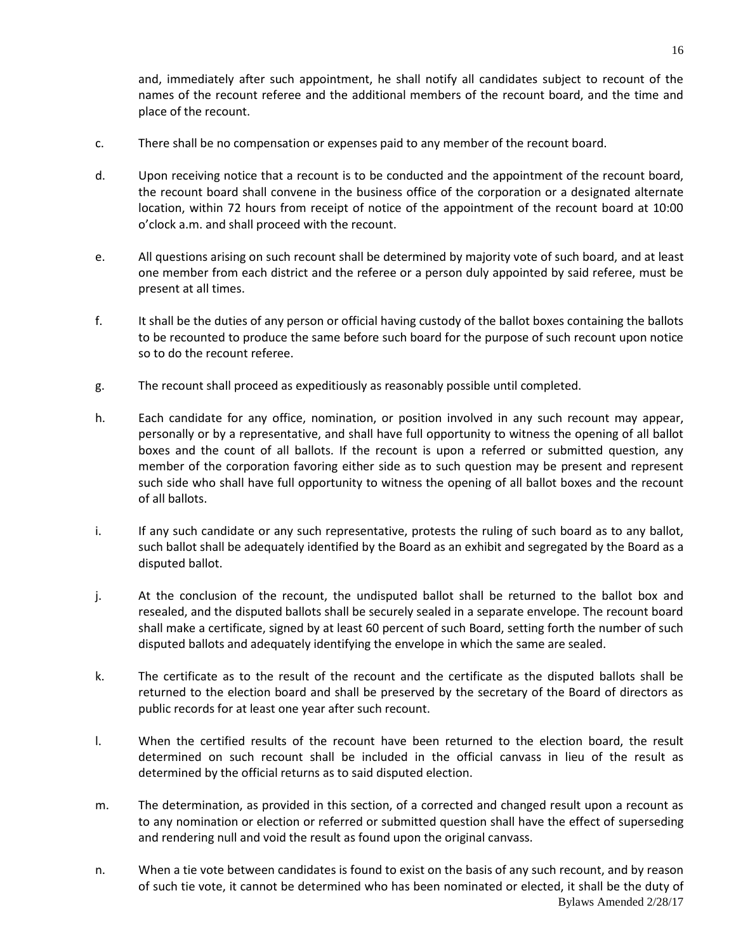and, immediately after such appointment, he shall notify all candidates subject to recount of the names of the recount referee and the additional members of the recount board, and the time and place of the recount.

- c. There shall be no compensation or expenses paid to any member of the recount board.
- d. Upon receiving notice that a recount is to be conducted and the appointment of the recount board, the recount board shall convene in the business office of the corporation or a designated alternate location, within 72 hours from receipt of notice of the appointment of the recount board at 10:00 o'clock a.m. and shall proceed with the recount.
- e. All questions arising on such recount shall be determined by majority vote of such board, and at least one member from each district and the referee or a person duly appointed by said referee, must be present at all times.
- f. It shall be the duties of any person or official having custody of the ballot boxes containing the ballots to be recounted to produce the same before such board for the purpose of such recount upon notice so to do the recount referee.
- g. The recount shall proceed as expeditiously as reasonably possible until completed.
- h. Each candidate for any office, nomination, or position involved in any such recount may appear, personally or by a representative, and shall have full opportunity to witness the opening of all ballot boxes and the count of all ballots. If the recount is upon a referred or submitted question, any member of the corporation favoring either side as to such question may be present and represent such side who shall have full opportunity to witness the opening of all ballot boxes and the recount of all ballots.
- i. If any such candidate or any such representative, protests the ruling of such board as to any ballot, such ballot shall be adequately identified by the Board as an exhibit and segregated by the Board as a disputed ballot.
- j. At the conclusion of the recount, the undisputed ballot shall be returned to the ballot box and resealed, and the disputed ballots shall be securely sealed in a separate envelope. The recount board shall make a certificate, signed by at least 60 percent of such Board, setting forth the number of such disputed ballots and adequately identifying the envelope in which the same are sealed.
- k. The certificate as to the result of the recount and the certificate as the disputed ballots shall be returned to the election board and shall be preserved by the secretary of the Board of directors as public records for at least one year after such recount.
- l. When the certified results of the recount have been returned to the election board, the result determined on such recount shall be included in the official canvass in lieu of the result as determined by the official returns as to said disputed election.
- m. The determination, as provided in this section, of a corrected and changed result upon a recount as to any nomination or election or referred or submitted question shall have the effect of superseding and rendering null and void the result as found upon the original canvass.
- Bylaws Amended 2/28/17 n. When a tie vote between candidates is found to exist on the basis of any such recount, and by reason of such tie vote, it cannot be determined who has been nominated or elected, it shall be the duty of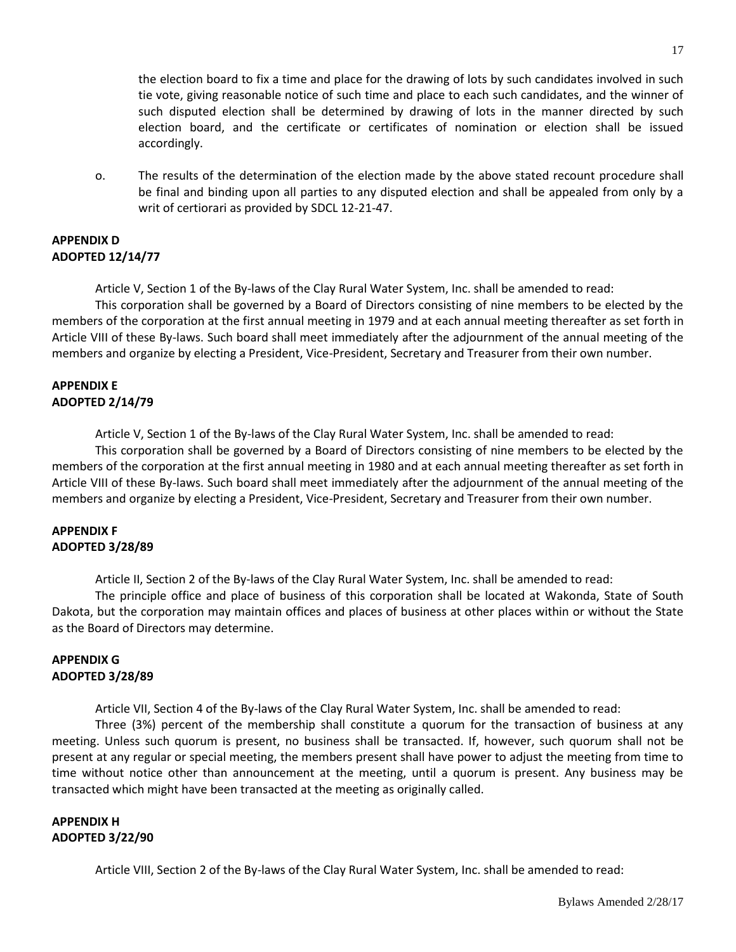the election board to fix a time and place for the drawing of lots by such candidates involved in such tie vote, giving reasonable notice of such time and place to each such candidates, and the winner of such disputed election shall be determined by drawing of lots in the manner directed by such election board, and the certificate or certificates of nomination or election shall be issued accordingly.

o. The results of the determination of the election made by the above stated recount procedure shall be final and binding upon all parties to any disputed election and shall be appealed from only by a writ of certiorari as provided by SDCL 12-21-47.

### **APPENDIX D ADOPTED 12/14/77**

Article V, Section 1 of the By-laws of the Clay Rural Water System, Inc. shall be amended to read:

This corporation shall be governed by a Board of Directors consisting of nine members to be elected by the members of the corporation at the first annual meeting in 1979 and at each annual meeting thereafter as set forth in Article VIII of these By-laws. Such board shall meet immediately after the adjournment of the annual meeting of the members and organize by electing a President, Vice-President, Secretary and Treasurer from their own number.

# **APPENDIX E ADOPTED 2/14/79**

Article V, Section 1 of the By-laws of the Clay Rural Water System, Inc. shall be amended to read:

This corporation shall be governed by a Board of Directors consisting of nine members to be elected by the members of the corporation at the first annual meeting in 1980 and at each annual meeting thereafter as set forth in Article VIII of these By-laws. Such board shall meet immediately after the adjournment of the annual meeting of the members and organize by electing a President, Vice-President, Secretary and Treasurer from their own number.

## **APPENDIX F ADOPTED 3/28/89**

Article II, Section 2 of the By-laws of the Clay Rural Water System, Inc. shall be amended to read:

The principle office and place of business of this corporation shall be located at Wakonda, State of South Dakota, but the corporation may maintain offices and places of business at other places within or without the State as the Board of Directors may determine.

# **APPENDIX G ADOPTED 3/28/89**

Article VII, Section 4 of the By-laws of the Clay Rural Water System, Inc. shall be amended to read:

Three (3%) percent of the membership shall constitute a quorum for the transaction of business at any meeting. Unless such quorum is present, no business shall be transacted. If, however, such quorum shall not be present at any regular or special meeting, the members present shall have power to adjust the meeting from time to time without notice other than announcement at the meeting, until a quorum is present. Any business may be transacted which might have been transacted at the meeting as originally called.

## **APPENDIX H ADOPTED 3/22/90**

Article VIII, Section 2 of the By-laws of the Clay Rural Water System, Inc. shall be amended to read: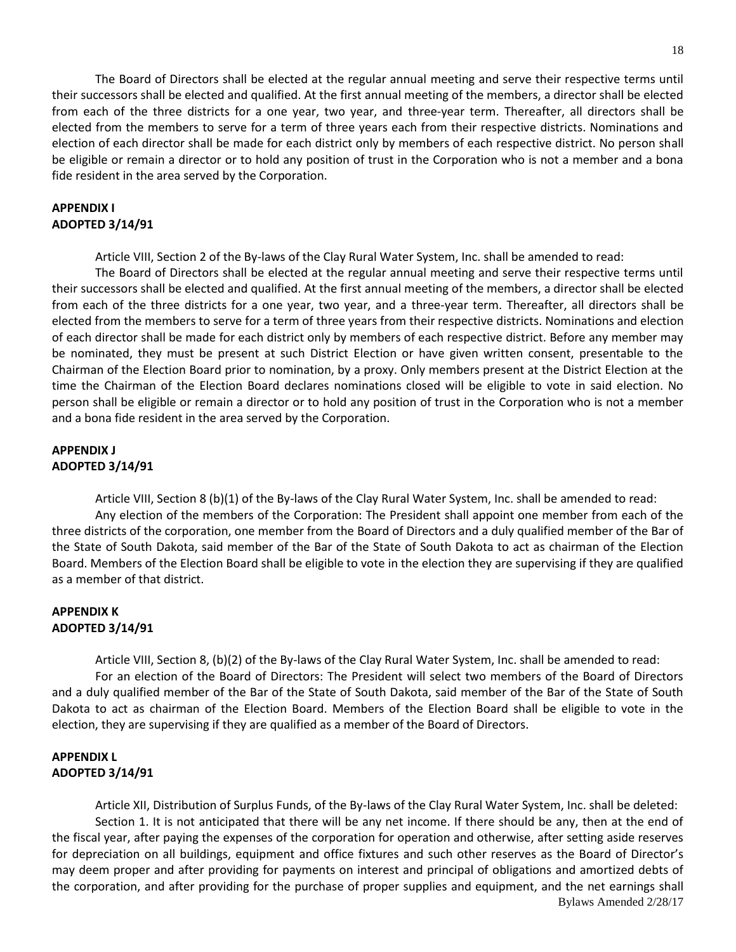The Board of Directors shall be elected at the regular annual meeting and serve their respective terms until their successors shall be elected and qualified. At the first annual meeting of the members, a director shall be elected from each of the three districts for a one year, two year, and three-year term. Thereafter, all directors shall be elected from the members to serve for a term of three years each from their respective districts. Nominations and election of each director shall be made for each district only by members of each respective district. No person shall be eligible or remain a director or to hold any position of trust in the Corporation who is not a member and a bona fide resident in the area served by the Corporation.

#### **APPENDIX I ADOPTED 3/14/91**

Article VIII, Section 2 of the By-laws of the Clay Rural Water System, Inc. shall be amended to read:

The Board of Directors shall be elected at the regular annual meeting and serve their respective terms until their successors shall be elected and qualified. At the first annual meeting of the members, a director shall be elected from each of the three districts for a one year, two year, and a three-year term. Thereafter, all directors shall be elected from the members to serve for a term of three years from their respective districts. Nominations and election of each director shall be made for each district only by members of each respective district. Before any member may be nominated, they must be present at such District Election or have given written consent, presentable to the Chairman of the Election Board prior to nomination, by a proxy. Only members present at the District Election at the time the Chairman of the Election Board declares nominations closed will be eligible to vote in said election. No person shall be eligible or remain a director or to hold any position of trust in the Corporation who is not a member and a bona fide resident in the area served by the Corporation.

### **APPENDIX J ADOPTED 3/14/91**

Article VIII, Section 8 (b)(1) of the By-laws of the Clay Rural Water System, Inc. shall be amended to read: Any election of the members of the Corporation: The President shall appoint one member from each of the three districts of the corporation, one member from the Board of Directors and a duly qualified member of the Bar of the State of South Dakota, said member of the Bar of the State of South Dakota to act as chairman of the Election Board. Members of the Election Board shall be eligible to vote in the election they are supervising if they are qualified as a member of that district.

## **APPENDIX K ADOPTED 3/14/91**

Article VIII, Section 8, (b)(2) of the By-laws of the Clay Rural Water System, Inc. shall be amended to read: For an election of the Board of Directors: The President will select two members of the Board of Directors and a duly qualified member of the Bar of the State of South Dakota, said member of the Bar of the State of South Dakota to act as chairman of the Election Board. Members of the Election Board shall be eligible to vote in the election, they are supervising if they are qualified as a member of the Board of Directors.

# **APPENDIX L ADOPTED 3/14/91**

Bylaws Amended 2/28/17 Article XII, Distribution of Surplus Funds, of the By-laws of the Clay Rural Water System, Inc. shall be deleted: Section 1. It is not anticipated that there will be any net income. If there should be any, then at the end of the fiscal year, after paying the expenses of the corporation for operation and otherwise, after setting aside reserves for depreciation on all buildings, equipment and office fixtures and such other reserves as the Board of Director's may deem proper and after providing for payments on interest and principal of obligations and amortized debts of the corporation, and after providing for the purchase of proper supplies and equipment, and the net earnings shall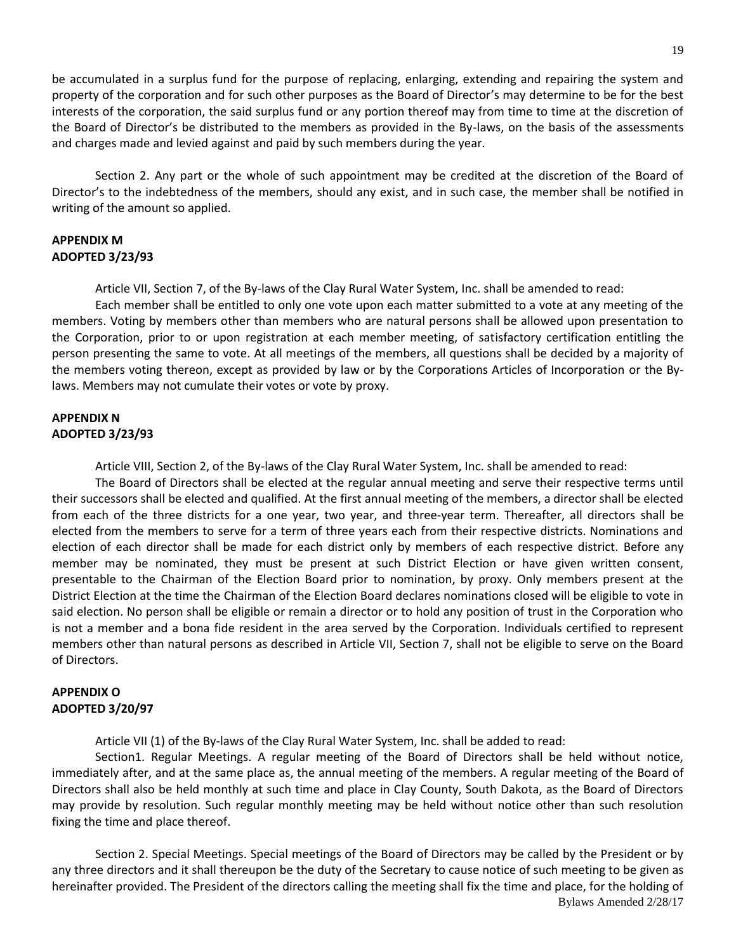19

be accumulated in a surplus fund for the purpose of replacing, enlarging, extending and repairing the system and property of the corporation and for such other purposes as the Board of Director's may determine to be for the best interests of the corporation, the said surplus fund or any portion thereof may from time to time at the discretion of the Board of Director's be distributed to the members as provided in the By-laws, on the basis of the assessments and charges made and levied against and paid by such members during the year.

Section 2. Any part or the whole of such appointment may be credited at the discretion of the Board of Director's to the indebtedness of the members, should any exist, and in such case, the member shall be notified in writing of the amount so applied.

### **APPENDIX M ADOPTED 3/23/93**

Article VII, Section 7, of the By-laws of the Clay Rural Water System, Inc. shall be amended to read:

Each member shall be entitled to only one vote upon each matter submitted to a vote at any meeting of the members. Voting by members other than members who are natural persons shall be allowed upon presentation to the Corporation, prior to or upon registration at each member meeting, of satisfactory certification entitling the person presenting the same to vote. At all meetings of the members, all questions shall be decided by a majority of the members voting thereon, except as provided by law or by the Corporations Articles of Incorporation or the Bylaws. Members may not cumulate their votes or vote by proxy.

### **APPENDIX N ADOPTED 3/23/93**

Article VIII, Section 2, of the By-laws of the Clay Rural Water System, Inc. shall be amended to read:

The Board of Directors shall be elected at the regular annual meeting and serve their respective terms until their successors shall be elected and qualified. At the first annual meeting of the members, a director shall be elected from each of the three districts for a one year, two year, and three-year term. Thereafter, all directors shall be elected from the members to serve for a term of three years each from their respective districts. Nominations and election of each director shall be made for each district only by members of each respective district. Before any member may be nominated, they must be present at such District Election or have given written consent, presentable to the Chairman of the Election Board prior to nomination, by proxy. Only members present at the District Election at the time the Chairman of the Election Board declares nominations closed will be eligible to vote in said election. No person shall be eligible or remain a director or to hold any position of trust in the Corporation who is not a member and a bona fide resident in the area served by the Corporation. Individuals certified to represent members other than natural persons as described in Article VII, Section 7, shall not be eligible to serve on the Board of Directors.

## **APPENDIX O ADOPTED 3/20/97**

Article VII (1) of the By-laws of the Clay Rural Water System, Inc. shall be added to read:

Section1. Regular Meetings. A regular meeting of the Board of Directors shall be held without notice, immediately after, and at the same place as, the annual meeting of the members. A regular meeting of the Board of Directors shall also be held monthly at such time and place in Clay County, South Dakota, as the Board of Directors may provide by resolution. Such regular monthly meeting may be held without notice other than such resolution fixing the time and place thereof.

Bylaws Amended 2/28/17 Section 2. Special Meetings. Special meetings of the Board of Directors may be called by the President or by any three directors and it shall thereupon be the duty of the Secretary to cause notice of such meeting to be given as hereinafter provided. The President of the directors calling the meeting shall fix the time and place, for the holding of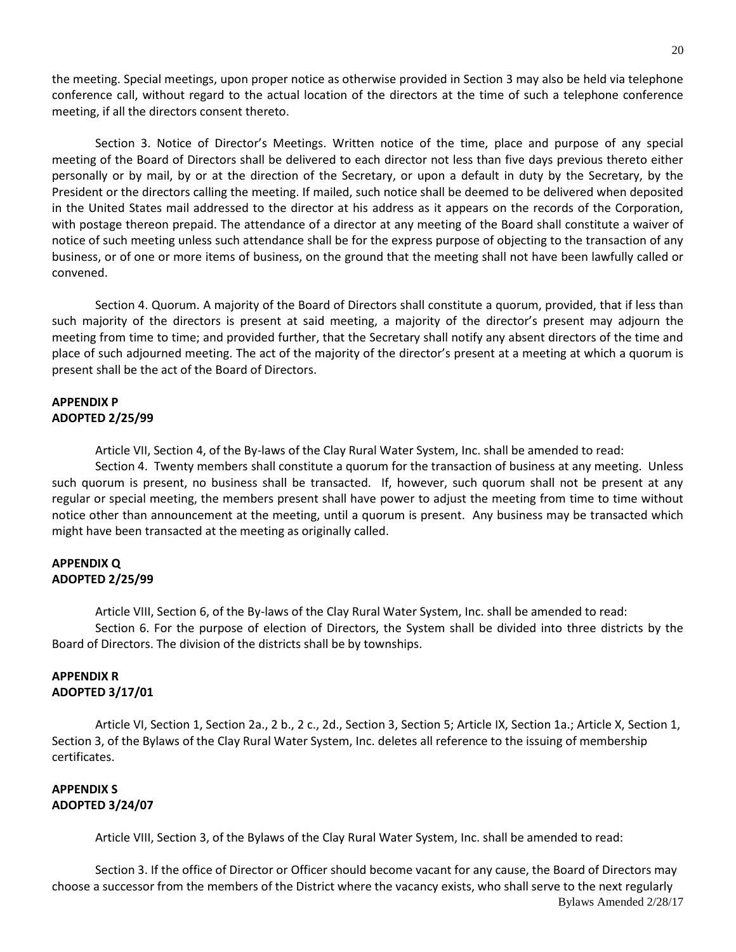the meeting. Special meetings, upon proper notice as otherwise provided in Section 3 may also be held via telephone conference call, without regard to the actual location of the directors at the time of such a telephone conference meeting, if all the directors consent thereto.

Section 3. Notice of Director's Meetings. Written notice of the time, place and purpose of any special meeting of the Board of Directors shall be delivered to each director not less than five days previous thereto either personally or by mail, by or at the direction of the Secretary, or upon a default in duty by the Secretary, by the President or the directors calling the meeting. If mailed, such notice shall be deemed to be delivered when deposited in the United States mail addressed to the director at his address as it appears on the records of the Corporation, with postage thereon prepaid. The attendance of a director at any meeting of the Board shall constitute a waiver of notice of such meeting unless such attendance shall be for the express purpose of objecting to the transaction of any business, or of one or more items of business, on the ground that the meeting shall not have been lawfully called or convened.

Section 4. Quorum. A majority of the Board of Directors shall constitute a quorum, provided, that if less than such majority of the directors is present at said meeting, a majority of the director's present may adjourn the meeting from time to time; and provided further, that the Secretary shall notify any absent directors of the time and place of such adjourned meeting. The act of the majority of the director's present at a meeting at which a quorum is present shall be the act of the Board of Directors.

### **APPENDIX P ADOPTED 2/25/99**

Article VII, Section 4, of the By-laws of the Clay Rural Water System, Inc. shall be amended to read:

Section 4. Twenty members shall constitute a quorum for the transaction of business at any meeting. Unless such quorum is present, no business shall be transacted. If, however, such quorum shall not be present at any regular or special meeting, the members present shall have power to adjust the meeting from time to time without notice other than announcement at the meeting, until a quorum is present. Any business may be transacted which might have been transacted at the meeting as originally called.

#### **APPENDIX Q ADOPTED 2/25/99**

Article VIII, Section 6, of the By-laws of the Clay Rural Water System, Inc. shall be amended to read: Section 6. For the purpose of election of Directors, the System shall be divided into three districts by the Board of Directors. The division of the districts shall be by townships.

# **APPENDIX R ADOPTED 3/17/01**

Article VI, Section 1, Section 2a., 2 b., 2 c., 2d., Section 3, Section 5; Article IX, Section 1a.; Article X, Section 1, Section 3, of the Bylaws of the Clay Rural Water System, Inc. deletes all reference to the issuing of membership certificates.

## **APPENDIX S ADOPTED 3/24/07**

Article VIII, Section 3, of the Bylaws of the Clay Rural Water System, Inc. shall be amended to read:

Bylaws Amended 2/28/17 Section 3. If the office of Director or Officer should become vacant for any cause, the Board of Directors may choose a successor from the members of the District where the vacancy exists, who shall serve to the next regularly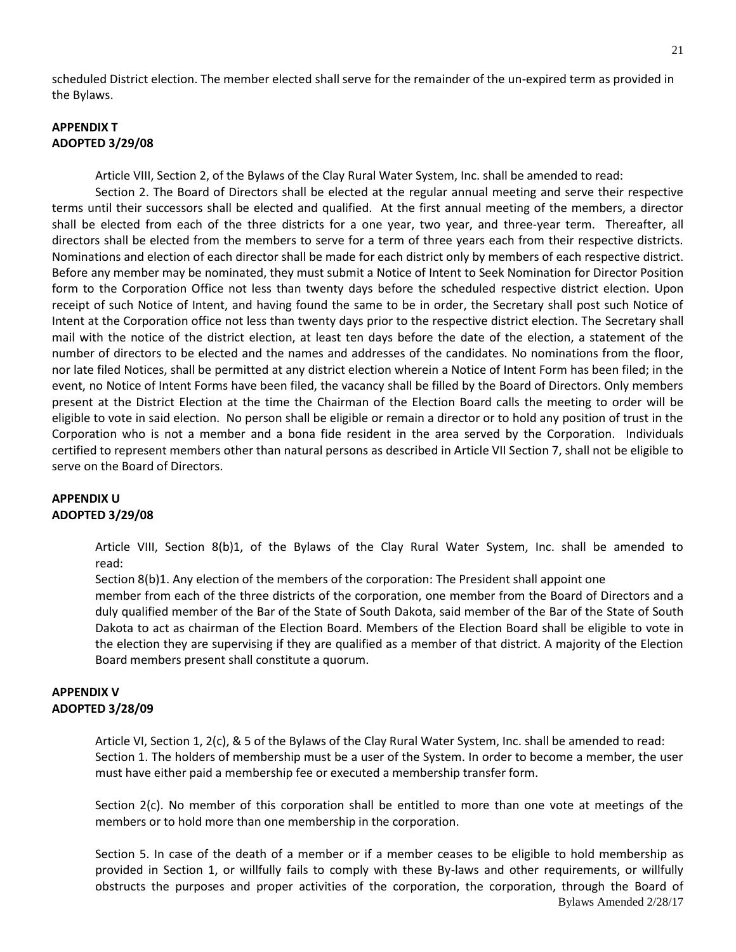scheduled District election. The member elected shall serve for the remainder of the un-expired term as provided in the Bylaws.

## **APPENDIX T ADOPTED 3/29/08**

Article VIII, Section 2, of the Bylaws of the Clay Rural Water System, Inc. shall be amended to read:

Section 2. The Board of Directors shall be elected at the regular annual meeting and serve their respective terms until their successors shall be elected and qualified. At the first annual meeting of the members, a director shall be elected from each of the three districts for a one year, two year, and three-year term. Thereafter, all directors shall be elected from the members to serve for a term of three years each from their respective districts. Nominations and election of each director shall be made for each district only by members of each respective district. Before any member may be nominated, they must submit a Notice of Intent to Seek Nomination for Director Position form to the Corporation Office not less than twenty days before the scheduled respective district election. Upon receipt of such Notice of Intent, and having found the same to be in order, the Secretary shall post such Notice of Intent at the Corporation office not less than twenty days prior to the respective district election. The Secretary shall mail with the notice of the district election, at least ten days before the date of the election, a statement of the number of directors to be elected and the names and addresses of the candidates. No nominations from the floor, nor late filed Notices, shall be permitted at any district election wherein a Notice of Intent Form has been filed; in the event, no Notice of Intent Forms have been filed, the vacancy shall be filled by the Board of Directors. Only members present at the District Election at the time the Chairman of the Election Board calls the meeting to order will be eligible to vote in said election. No person shall be eligible or remain a director or to hold any position of trust in the Corporation who is not a member and a bona fide resident in the area served by the Corporation. Individuals certified to represent members other than natural persons as described in Article VII Section 7, shall not be eligible to serve on the Board of Directors.

## **APPENDIX U ADOPTED 3/29/08**

Article VIII, Section 8(b)1, of the Bylaws of the Clay Rural Water System, Inc. shall be amended to read:

Section 8(b)1. Any election of the members of the corporation: The President shall appoint one

member from each of the three districts of the corporation, one member from the Board of Directors and a duly qualified member of the Bar of the State of South Dakota, said member of the Bar of the State of South Dakota to act as chairman of the Election Board. Members of the Election Board shall be eligible to vote in the election they are supervising if they are qualified as a member of that district. A majority of the Election Board members present shall constitute a quorum.

### **APPENDIX V ADOPTED 3/28/09**

Article VI, Section 1, 2(c), & 5 of the Bylaws of the Clay Rural Water System, Inc. shall be amended to read: Section 1. The holders of membership must be a user of the System. In order to become a member, the user must have either paid a membership fee or executed a membership transfer form.

Section 2(c). No member of this corporation shall be entitled to more than one vote at meetings of the members or to hold more than one membership in the corporation.

Bylaws Amended 2/28/17 Section 5. In case of the death of a member or if a member ceases to be eligible to hold membership as provided in Section 1, or willfully fails to comply with these By-laws and other requirements, or willfully obstructs the purposes and proper activities of the corporation, the corporation, through the Board of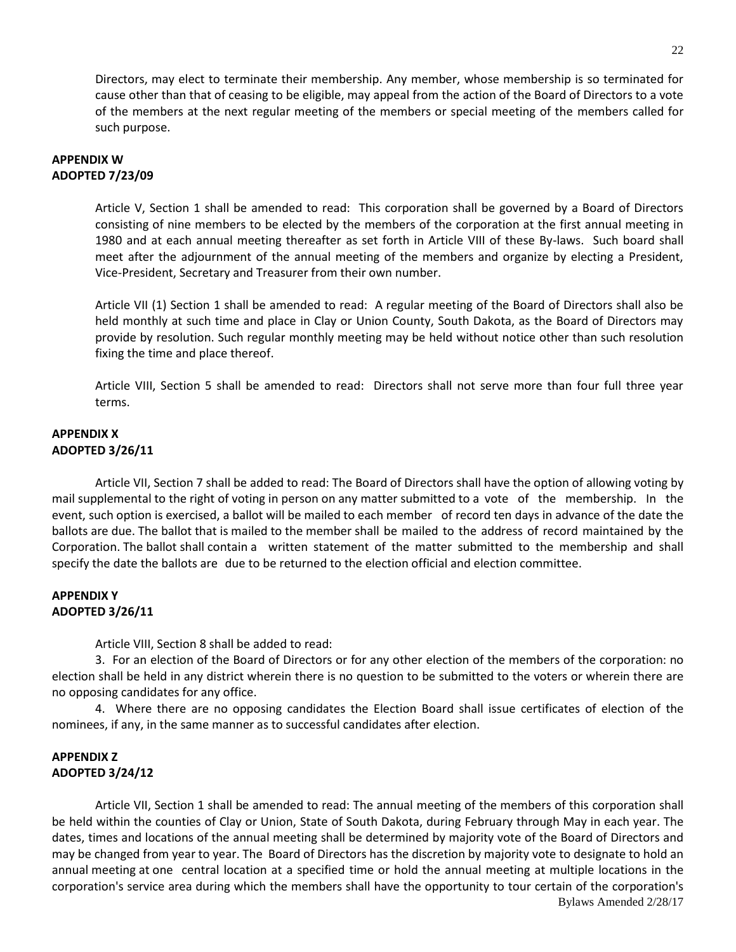Directors, may elect to terminate their membership. Any member, whose membership is so terminated for cause other than that of ceasing to be eligible, may appeal from the action of the Board of Directors to a vote of the members at the next regular meeting of the members or special meeting of the members called for such purpose.

### **APPENDIX W ADOPTED 7/23/09**

Article V, Section 1 shall be amended to read: This corporation shall be governed by a Board of Directors consisting of nine members to be elected by the members of the corporation at the first annual meeting in 1980 and at each annual meeting thereafter as set forth in Article VIII of these By-laws. Such board shall meet after the adjournment of the annual meeting of the members and organize by electing a President, Vice-President, Secretary and Treasurer from their own number.

Article VII (1) Section 1 shall be amended to read: A regular meeting of the Board of Directors shall also be held monthly at such time and place in Clay or Union County, South Dakota, as the Board of Directors may provide by resolution. Such regular monthly meeting may be held without notice other than such resolution fixing the time and place thereof.

Article VIII, Section 5 shall be amended to read: Directors shall not serve more than four full three year terms.

# **APPENDIX X ADOPTED 3/26/11**

Article VII, Section 7 shall be added to read: The Board of Directors shall have the option of allowing voting by mail supplemental to the right of voting in person on any matter submitted to a vote of the membership. In the event, such option is exercised, a ballot will be mailed to each member of record ten days in advance of the date the ballots are due. The ballot that is mailed to the member shall be mailed to the address of record maintained by the Corporation. The ballot shall contain a written statement of the matter submitted to the membership and shall specify the date the ballots are due to be returned to the election official and election committee.

# **APPENDIX Y ADOPTED 3/26/11**

Article VIII, Section 8 shall be added to read:

3. For an election of the Board of Directors or for any other election of the members of the corporation: no election shall be held in any district wherein there is no question to be submitted to the voters or wherein there are no opposing candidates for any office.

4. Where there are no opposing candidates the Election Board shall issue certificates of election of the nominees, if any, in the same manner as to successful candidates after election.

# **APPENDIX Z ADOPTED 3/24/12**

Bylaws Amended 2/28/17 Article VII, Section 1 shall be amended to read: The annual meeting of the members of this corporation shall be held within the counties of Clay or Union, State of South Dakota, during February through May in each year. The dates, times and locations of the annual meeting shall be determined by majority vote of the Board of Directors and may be changed from year to year. The Board of Directors has the discretion by majority vote to designate to hold an annual meeting at one central location at a specified time or hold the annual meeting at multiple locations in the corporation's service area during which the members shall have the opportunity to tour certain of the corporation's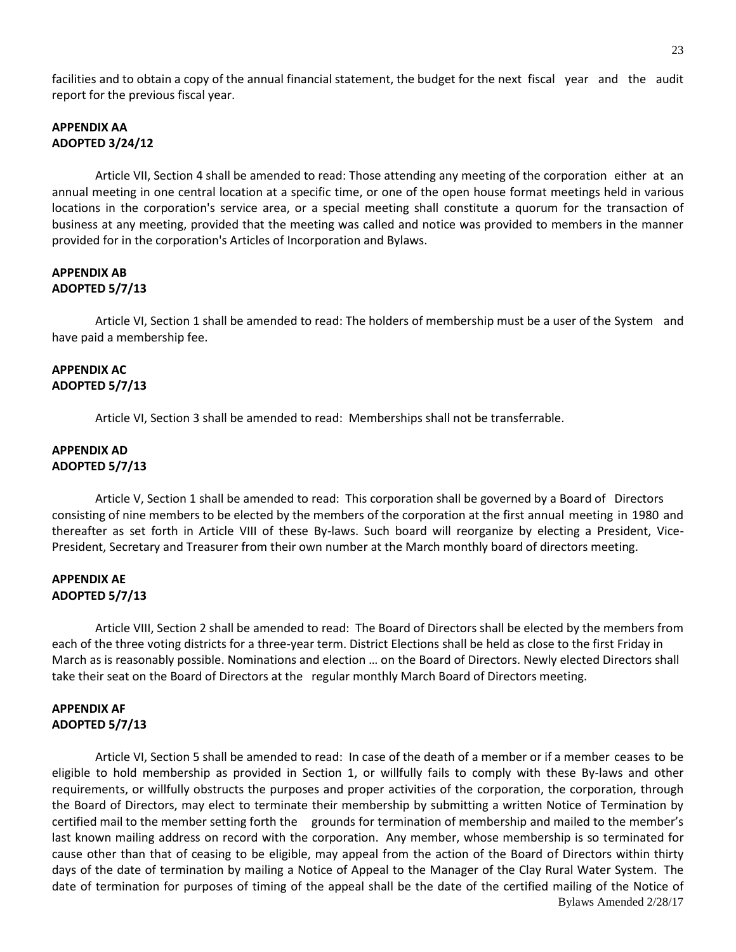facilities and to obtain a copy of the annual financial statement, the budget for the next fiscal year and the audit report for the previous fiscal year.

# **APPENDIX AA ADOPTED 3/24/12**

Article VII, Section 4 shall be amended to read: Those attending any meeting of the corporation either at an annual meeting in one central location at a specific time, or one of the open house format meetings held in various locations in the corporation's service area, or a special meeting shall constitute a quorum for the transaction of business at any meeting, provided that the meeting was called and notice was provided to members in the manner provided for in the corporation's Articles of Incorporation and Bylaws.

## **APPENDIX AB ADOPTED 5/7/13**

Article VI, Section 1 shall be amended to read: The holders of membership must be a user of the System and have paid a membership fee.

### **APPENDIX AC ADOPTED 5/7/13**

Article VI, Section 3 shall be amended to read: Memberships shall not be transferrable.

### **APPENDIX AD ADOPTED 5/7/13**

Article V, Section 1 shall be amended to read: This corporation shall be governed by a Board of Directors consisting of nine members to be elected by the members of the corporation at the first annual meeting in 1980 and thereafter as set forth in Article VIII of these By-laws. Such board will reorganize by electing a President, Vice-President, Secretary and Treasurer from their own number at the March monthly board of directors meeting.

### **APPENDIX AE ADOPTED 5/7/13**

Article VIII, Section 2 shall be amended to read: The Board of Directors shall be elected by the members from each of the three voting districts for a three-year term. District Elections shall be held as close to the first Friday in March as is reasonably possible. Nominations and election … on the Board of Directors. Newly elected Directors shall take their seat on the Board of Directors at the regular monthly March Board of Directors meeting.

## **APPENDIX AF ADOPTED 5/7/13**

Bylaws Amended 2/28/17 Article VI, Section 5 shall be amended to read: In case of the death of a member or if a member ceases to be eligible to hold membership as provided in Section 1, or willfully fails to comply with these By-laws and other requirements, or willfully obstructs the purposes and proper activities of the corporation, the corporation, through the Board of Directors, may elect to terminate their membership by submitting a written Notice of Termination by certified mail to the member setting forth the grounds for termination of membership and mailed to the member's last known mailing address on record with the corporation. Any member, whose membership is so terminated for cause other than that of ceasing to be eligible, may appeal from the action of the Board of Directors within thirty days of the date of termination by mailing a Notice of Appeal to the Manager of the Clay Rural Water System. The date of termination for purposes of timing of the appeal shall be the date of the certified mailing of the Notice of